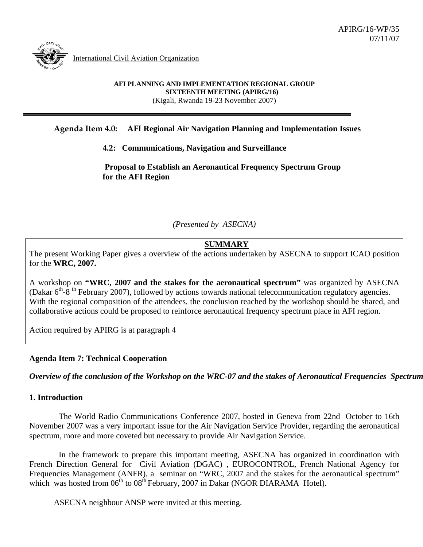

International Civil Aviation Organization

#### **AFI PLANNING AND IMPLEMENTATION REGIONAL GROUP SIXTEENTH MEETING (APIRG/16)**  (Kigali, Rwanda 19-23 November 2007)

## **Agenda Item 4.0: AFI Regional Air Navigation Planning and Implementation Issues**

### **4.2: Communications, Navigation and Surveillance**

 **Proposal to Establish an Aeronautical Frequency Spectrum Group for the AFI Region** 

*(Presented by ASECNA)* 

# **SUMMARY**

The present Working Paper gives a overview of the actions undertaken by ASECNA to support ICAO position for the **WRC, 2007.** 

A workshop on **"WRC, 2007 and the stakes for the aeronautical spectrum"** was organized by ASECNA (Dakar  $6<sup>th</sup>$ -8<sup>th</sup> February 2007), followed by actions towards national telecommunication regulatory agencies. With the regional composition of the attendees, the conclusion reached by the workshop should be shared, and collaborative actions could be proposed to reinforce aeronautical frequency spectrum place in AFI region.

Action required by APIRG is at paragraph 4

#### **Agenda Item 7: Technical Cooperation**

*Overview of the conclusion of the Workshop on the WRC-07 and the stakes of Aeronautical Frequencies Spectrum*

#### **1. Introduction**

The World Radio Communications Conference 2007, hosted in Geneva from 22nd October to 16th November 2007 was a very important issue for the Air Navigation Service Provider, regarding the aeronautical spectrum, more and more coveted but necessary to provide Air Navigation Service.

In the framework to prepare this important meeting, ASECNA has organized in coordination with French Direction General for Civil Aviation (DGAC) , EUROCONTROL, French National Agency for Frequencies Management (ANFR), a seminar on "WRC, 2007 and the stakes for the aeronautical spectrum" which was hosted from  $06<sup>th</sup>$  to  $08<sup>th</sup>$  February, 2007 in Dakar (NGOR DIARAMA Hotel).

ASECNA neighbour ANSP were invited at this meeting.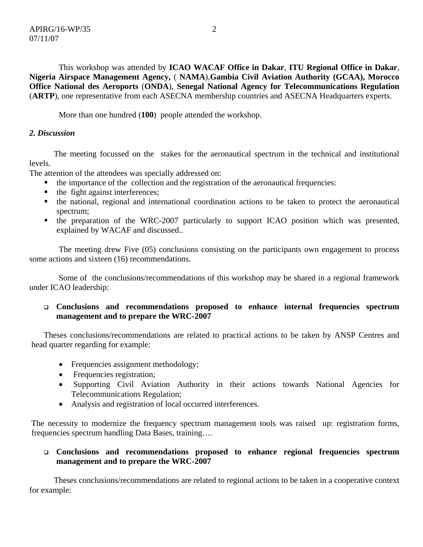This workshop was attended by **ICAO WACAF Office in Dakar**, **ITU Regional Office in Dakar**, **Nigeria Airspace Management Agency,** ( **NAMA**),**Gambia Civil Aviation Authority (GCAA), Morocco Office National des Aeroports** (**ONDA**), **Senegal National Agency for Telecommunications Regulation**  (**ARTP**), one representative from each ASECNA membership countries and ASECNA Headquarters experts.

More than one hundred (**100**) people attended the workshop.

## *2. Discussion*

The meeting focussed on the stakes for the aeronautical spectrum in the technical and institutional levels.

The attention of the attendees was specially addressed on:

- the importance of the collection and the registration of the aeronautical frequencies:
- the fight against interferences;
- the national, regional and international coordination actions to be taken to protect the aeronautical spectrum;
- the preparation of the WRC-2007 particularly to support ICAO position which was presented, explained by WACAF and discussed..

The meeting drew Five (05) conclusions consisting on the participants own engagement to process some actions and sixteen (16) recommendations.

Some of the conclusions/recommendations of this workshop may be shared in a regional framework under ICAO leadership:

### **Conclusions and recommendations proposed to enhance internal frequencies spectrum management and to prepare the WRC-2007**

Theses conclusions/recommendations are related to practical actions to be taken by ANSP Centres and head quarter regarding for example:

- Frequencies assignment methodology;
- Frequencies registration;
- Supporting Civil Aviation Authority in their actions towards National Agencies for Telecommunications Regulation;
- Analysis and registration of local occurred interferences.

The necessity to modernize the frequency spectrum management tools was raised up: registration forms, frequencies spectrum handling Data Bases, training….

# **Conclusions and recommendations proposed to enhance regional frequencies spectrum management and to prepare the WRC-2007**

Theses conclusions/recommendations are related to regional actions to be taken in a cooperative context for example: